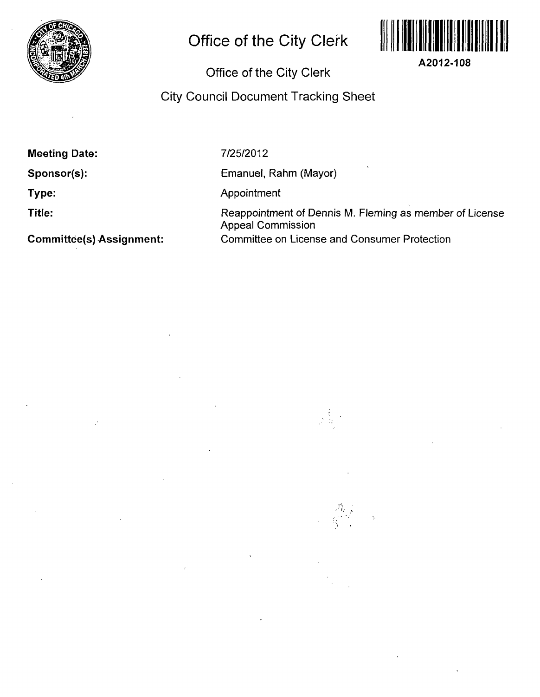

# **Office of the City Clerk**



## Office of the City Clerk

### City Council Document Tracking Sheet

**Meeting Date:** 

**Sponsor(s):** 

**Type:** 

**Title:** 

**Committee(s) Assignment:** 

7/25/2012

Emanuel, Rahm (Mayor)

Appointment

Reappointment of Dennis M. Fleming as member of License Appeal Commission Committee on License and Consumer Protection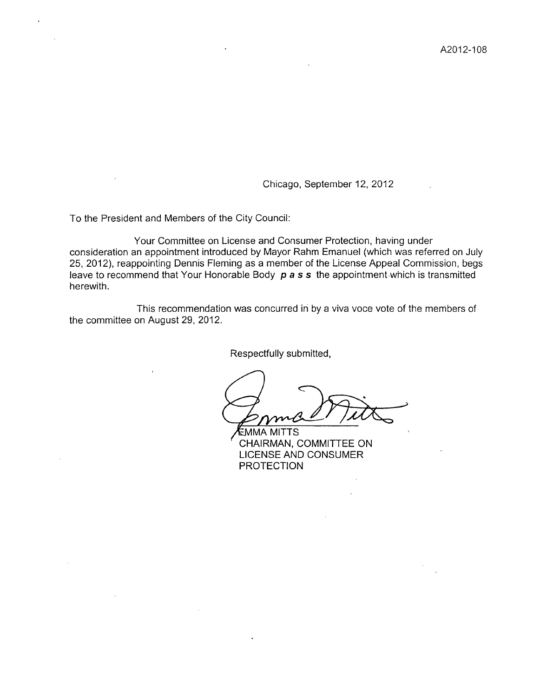Chicago, September 12, 2012

To the President and Members of the City Council:

Your Committee on License and Consumer Protection, having under consideration an appointment introduced by Mayor Rahm Emanuel (which was referred on July 25, 2012), reappointing Dennis Fleming as a member of the License Appeal Commission, begs leave to recommend that Your Honorable Body  $p$  a s s the appointment which is transmitted herewith.

This recommendation was concurred in by a viva voce vote of the members of the committee on August 29, 2012.

Respectfully submitted.

**E**MMA MITTS CHAIRMAN, COMMITTEE ON LICENSE AND CONSUMER PROTECTION